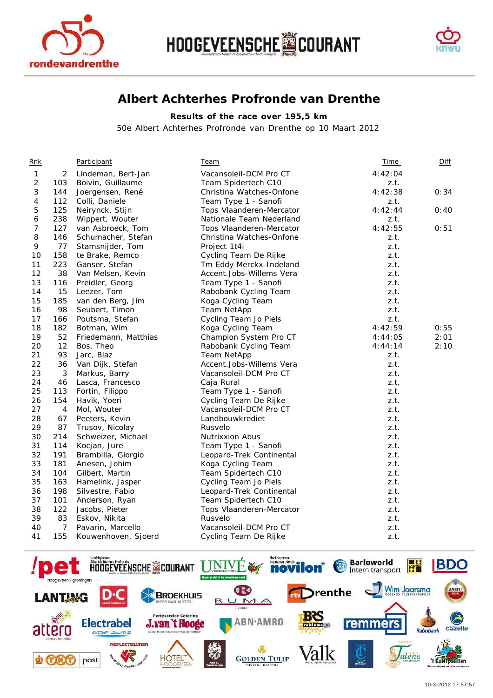





## **Albert Achterhes Profronde van Drenthe**

## **Results of the race over 195,5 km**

*50e Albert Achterhes Profronde van Drenthe op 10 Maart 2012* 

| <u>Rnk</u>     |                | <b>Participant</b>   | <u>Team</u>              | <u>Time</u> | <u>Diff</u> |
|----------------|----------------|----------------------|--------------------------|-------------|-------------|
| $\mathbf{1}$   | $\overline{2}$ | Lindeman, Bert-Jan   | Vacansoleil-DCM Pro CT   | 4:42:04     |             |
| $\overline{c}$ | 103            | Boivin, Guillaume    | Team Spidertech C10      | z.t.        |             |
| 3              | 144            | Joergensen, René     | Christina Watches-Onfone | 4:42:38     | 0:34        |
| 4              | 112            | Colli, Daniele       | Team Type 1 - Sanofi     | z.t.        |             |
| 5              | 125            | Neirynck, Stijn      | Tops Vlaanderen-Mercator | 4:42:44     | 0:40        |
| 6              | 238            | Wippert, Wouter      | Nationale Team Nederland | z.t.        |             |
| 7              | 127            | van Asbroeck, Tom    | Tops Vlaanderen-Mercator | 4:42:55     | 0:51        |
| 8              | 146            | Schumacher, Stefan   | Christina Watches-Onfone | z.t.        |             |
| 9              | 77             | Stamsnijder, Tom     | Project 1t4i             | z.t.        |             |
| 10             | 158            | te Brake, Remco      | Cycling Team De Rijke    | z.t.        |             |
| 11             | 223            | Ganser, Stefan       | Tm Eddy Merckx-Indeland  | z.t.        |             |
| 12             | 38             | Van Melsen, Kevin    | Accent.Jobs-Willems Vera | z.t.        |             |
| 13             | 116            | Preidler, Georg      | Team Type 1 - Sanofi     | z.t.        |             |
| 14             | 15             | Leezer, Tom          | Rabobank Cycling Team    | z.t.        |             |
| 15             | 185            | van den Berg, Jim    | Koga Cycling Team        | z.t.        |             |
| 16             | 98             | Seubert, Timon       | Team NetApp              | z.t.        |             |
| 17             | 166            | Poutsma, Stefan      | Cycling Team Jo Piels    | z.t.        |             |
| 18             | 182            | Botman, Wim          | Koga Cycling Team        | 4:42:59     | 0:55        |
| 19             | 52             | Friedemann, Matthias | Champion System Pro CT   | 4:44:05     | 2:01        |
| 20             | 12             | Bos, Theo            | Rabobank Cycling Team    | 4:44:14     | 2:10        |
| 21             | 93             | Jarc, Blaz           | Team NetApp              | z.t.        |             |
| 22             | 36             | Van Dijk, Stefan     | Accent.Jobs-Willems Vera | z.t.        |             |
| 23             | 3              | Markus, Barry        | Vacansoleil-DCM Pro CT   | z.t.        |             |
| 24             | 46             | Lasca, Francesco     | Caja Rural               | z.t.        |             |
| 25             | 113            | Fortin, Filippo      | Team Type 1 - Sanofi     | z.t.        |             |
| 26             | 154            | Havik, Yoeri         | Cycling Team De Rijke    | z.t.        |             |
| 27             | $\overline{4}$ | Mol, Wouter          | Vacansoleil-DCM Pro CT   | z.t.        |             |
| 28             | 67             | Peeters, Kevin       | Landbouwkrediet          | z.t.        |             |
| 29             | 87             | Trusov, Nicolay      | Rusvelo                  | z.t.        |             |
| 30             | 214            | Schweizer, Michael   | <b>Nutrixxion Abus</b>   | z.t.        |             |
| 31             | 114            | Kocjan, Jure         | Team Type 1 - Sanofi     | z.t.        |             |
| 32             | 191            | Brambilla, Giorgio   | Leopard-Trek Continental | z.t.        |             |
| 33             | 181            | Ariesen, Johim       | Koga Cycling Team        | z.t.        |             |
| 34             | 104            | Gilbert, Martin      | Team Spidertech C10      | z.t.        |             |
| 35             | 163            | Hamelink, Jasper     | Cycling Team Jo Piels    | z.t.        |             |
| 36             | 198            | Silvestre, Fabio     | Leopard-Trek Continental | z.t.        |             |
| 37             | 101            | Anderson, Ryan       | Team Spidertech C10      | z.t.        |             |
| 38             | 122            | Jacobs, Pieter       | Tops Vlaanderen-Mercator | z.t.        |             |
| 39             | 83             | Eskov, Nikita        | Rusvelo                  | z.t.        |             |
| 40             | $\overline{7}$ | Pavarin, Marcello    | Vacansoleil-DCM Pro CT   | z.t.        |             |
| 41             | 155            | Kouwenhoven, Sjoerd  | Cycling Team De Rijke    | z.t.        |             |